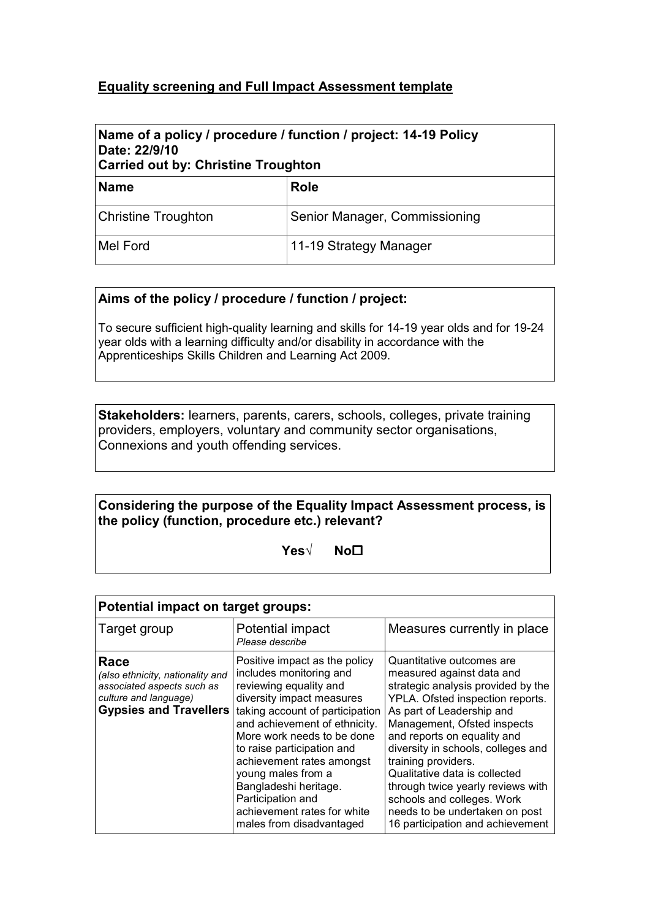## **Equality screening and Full Impact Assessment template**

# Name of a policy / procedure / function / project: 14-19 Policy  **Date: 22/9/10**

| <b>Carried out by: Christine Troughton</b> |                               |  |  |  |
|--------------------------------------------|-------------------------------|--|--|--|
| <b>Name</b>                                | <b>Role</b>                   |  |  |  |
| <b>Christine Troughton</b>                 | Senior Manager, Commissioning |  |  |  |
| Mel Ford                                   | 11-19 Strategy Manager        |  |  |  |

#### **Aims of the policy / procedure / function / project:**

To secure sufficient high-quality learning and skills for 14-19 year olds and for 19-24 year olds with a learning difficulty and/or disability in accordance with the Apprenticeships Skills Children and Learning Act 2009.

 **Stakeholders:** learners, parents, carers, schools, colleges, private training providers, employers, voluntary and community sector organisations, Connexions and youth offending services.

#### **Considering the purpose of the Equality Impact Assessment process, is the policy (function, procedure etc.) relevant?**

 **Yes√ No**�

| Potential impact on target groups:                                                                                               |                                                                                                                                                                                                                                                                                                                                                                                                             |                                                                                                                                                                                                                                                                                                                                                                                                                                                                    |  |  |  |  |  |
|----------------------------------------------------------------------------------------------------------------------------------|-------------------------------------------------------------------------------------------------------------------------------------------------------------------------------------------------------------------------------------------------------------------------------------------------------------------------------------------------------------------------------------------------------------|--------------------------------------------------------------------------------------------------------------------------------------------------------------------------------------------------------------------------------------------------------------------------------------------------------------------------------------------------------------------------------------------------------------------------------------------------------------------|--|--|--|--|--|
| Target group                                                                                                                     | Potential impact<br>Please describe                                                                                                                                                                                                                                                                                                                                                                         | Measures currently in place                                                                                                                                                                                                                                                                                                                                                                                                                                        |  |  |  |  |  |
| Race<br>(also ethnicity, nationality and<br>associated aspects such as<br>culture and language)<br><b>Gypsies and Travellers</b> | Positive impact as the policy<br>includes monitoring and<br>reviewing equality and<br>diversity impact measures<br>taking account of participation<br>and achievement of ethnicity.<br>More work needs to be done<br>to raise participation and<br>achievement rates amongst<br>young males from a<br>Bangladeshi heritage.<br>Participation and<br>achievement rates for white<br>males from disadvantaged | Quantitative outcomes are<br>measured against data and<br>strategic analysis provided by the<br>YPLA. Ofsted inspection reports.<br>As part of Leadership and<br>Management, Ofsted inspects<br>and reports on equality and<br>diversity in schools, colleges and<br>training providers.<br>Qualitative data is collected<br>through twice yearly reviews with<br>schools and colleges. Work<br>needs to be undertaken on post<br>16 participation and achievement |  |  |  |  |  |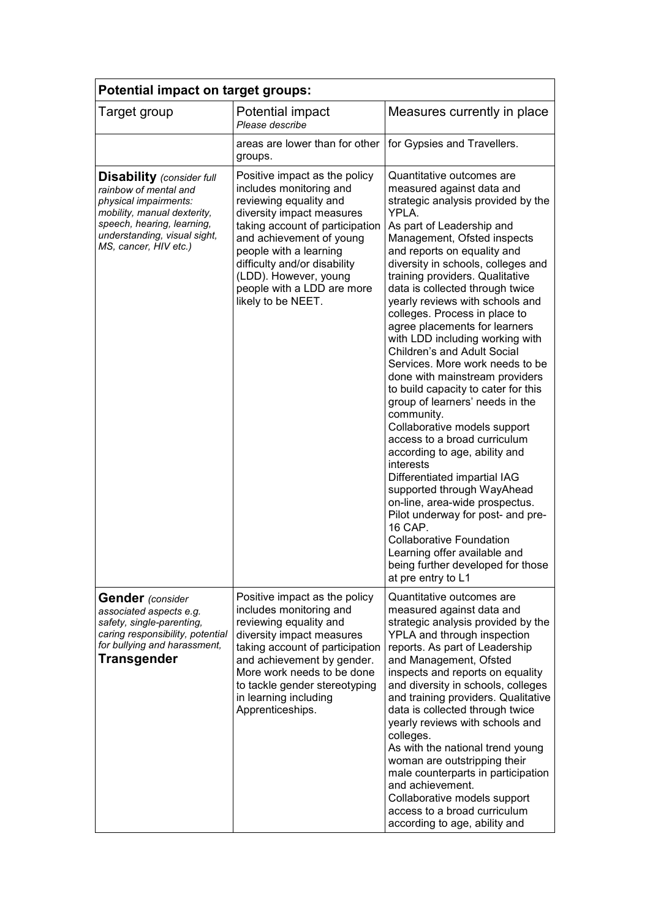| <b>Potential impact on target groups:</b>                                                                                                                                                                |                                                                                                                                                                                                                                                                                                                       |                                                                                                                                                                                                                                                                                                                                                                                                                                                                                                                                                                                                                                                                                                                                                                                                                                                                                                                                                                                                                                              |  |  |  |  |
|----------------------------------------------------------------------------------------------------------------------------------------------------------------------------------------------------------|-----------------------------------------------------------------------------------------------------------------------------------------------------------------------------------------------------------------------------------------------------------------------------------------------------------------------|----------------------------------------------------------------------------------------------------------------------------------------------------------------------------------------------------------------------------------------------------------------------------------------------------------------------------------------------------------------------------------------------------------------------------------------------------------------------------------------------------------------------------------------------------------------------------------------------------------------------------------------------------------------------------------------------------------------------------------------------------------------------------------------------------------------------------------------------------------------------------------------------------------------------------------------------------------------------------------------------------------------------------------------------|--|--|--|--|
| Target group                                                                                                                                                                                             | Potential impact<br>Please describe                                                                                                                                                                                                                                                                                   | Measures currently in place                                                                                                                                                                                                                                                                                                                                                                                                                                                                                                                                                                                                                                                                                                                                                                                                                                                                                                                                                                                                                  |  |  |  |  |
|                                                                                                                                                                                                          | areas are lower than for other<br>groups.                                                                                                                                                                                                                                                                             | for Gypsies and Travellers.                                                                                                                                                                                                                                                                                                                                                                                                                                                                                                                                                                                                                                                                                                                                                                                                                                                                                                                                                                                                                  |  |  |  |  |
| <b>Disability</b> (consider full<br>rainbow of mental and<br>physical impairments:<br>mobility, manual dexterity,<br>speech, hearing, learning,<br>understanding, visual sight,<br>MS, cancer, HIV etc.) | Positive impact as the policy<br>includes monitoring and<br>reviewing equality and<br>diversity impact measures<br>taking account of participation<br>and achievement of young<br>people with a learning<br>difficulty and/or disability<br>(LDD). However, young<br>people with a LDD are more<br>likely to be NEET. | Quantitative outcomes are<br>measured against data and<br>strategic analysis provided by the<br>YPLA.<br>As part of Leadership and<br>Management, Ofsted inspects<br>and reports on equality and<br>diversity in schools, colleges and<br>training providers. Qualitative<br>data is collected through twice<br>yearly reviews with schools and<br>colleges. Process in place to<br>agree placements for learners<br>with LDD including working with<br>Children's and Adult Social<br>Services. More work needs to be<br>done with mainstream providers<br>to build capacity to cater for this<br>group of learners' needs in the<br>community.<br>Collaborative models support<br>access to a broad curriculum<br>according to age, ability and<br>interests<br>Differentiated impartial IAG<br>supported through WayAhead<br>on-line, area-wide prospectus.<br>Pilot underway for post- and pre-<br>16 CAP.<br><b>Collaborative Foundation</b><br>Learning offer available and<br>being further developed for those<br>at pre entry to L1 |  |  |  |  |
| <b>Gender</b> (consider<br>associated aspects e.g.<br>safety, single-parenting,<br>caring responsibility, potential<br>for bullying and harassment,<br><b>Transgender</b>                                | Positive impact as the policy<br>includes monitoring and<br>reviewing equality and<br>diversity impact measures<br>taking account of participation<br>and achievement by gender.<br>More work needs to be done<br>to tackle gender stereotyping<br>in learning including<br>Apprenticeships.                          | Quantitative outcomes are<br>measured against data and<br>strategic analysis provided by the<br>YPLA and through inspection<br>reports. As part of Leadership<br>and Management, Ofsted<br>inspects and reports on equality<br>and diversity in schools, colleges<br>and training providers. Qualitative<br>data is collected through twice<br>yearly reviews with schools and<br>colleges.<br>As with the national trend young<br>woman are outstripping their<br>male counterparts in participation<br>and achievement.<br>Collaborative models support<br>access to a broad curriculum<br>according to age, ability and                                                                                                                                                                                                                                                                                                                                                                                                                   |  |  |  |  |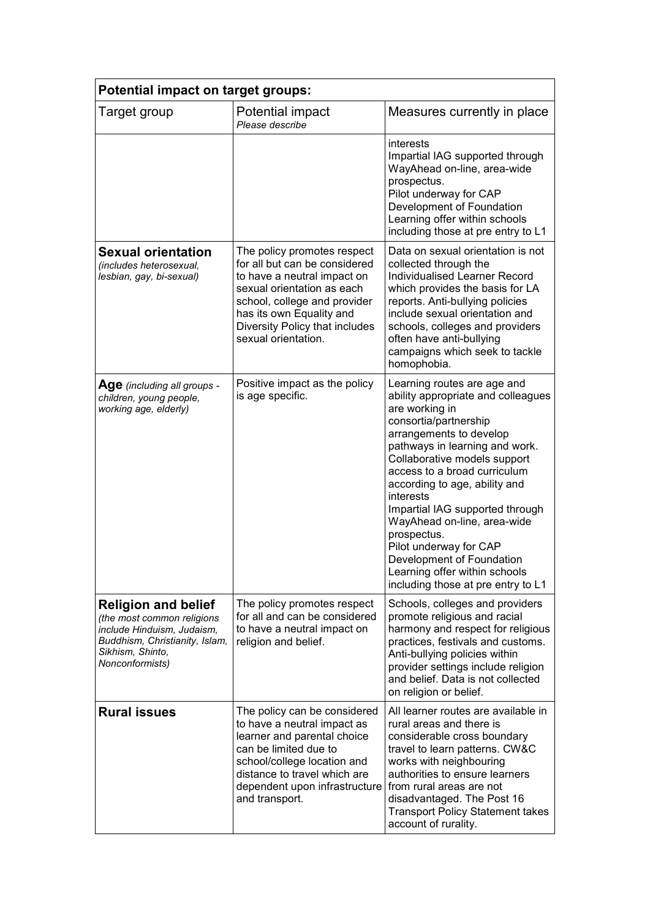| Potential impact on target groups:                                                                                                                              |                                                                                                                                                                                                                                                |                                                                                                                                                                                                                                                                                                                                                                                                                                                                                                        |  |  |  |  |
|-----------------------------------------------------------------------------------------------------------------------------------------------------------------|------------------------------------------------------------------------------------------------------------------------------------------------------------------------------------------------------------------------------------------------|--------------------------------------------------------------------------------------------------------------------------------------------------------------------------------------------------------------------------------------------------------------------------------------------------------------------------------------------------------------------------------------------------------------------------------------------------------------------------------------------------------|--|--|--|--|
| Target group                                                                                                                                                    | Potential impact<br>Please describe                                                                                                                                                                                                            | Measures currently in place                                                                                                                                                                                                                                                                                                                                                                                                                                                                            |  |  |  |  |
|                                                                                                                                                                 |                                                                                                                                                                                                                                                | interests<br>Impartial IAG supported through<br>WayAhead on-line, area-wide<br>prospectus.<br>Pilot underway for CAP<br>Development of Foundation<br>Learning offer within schools<br>including those at pre entry to L1                                                                                                                                                                                                                                                                               |  |  |  |  |
| <b>Sexual orientation</b><br>(includes heterosexual,<br>lesbian, gay, bi-sexual)                                                                                | The policy promotes respect<br>for all but can be considered<br>to have a neutral impact on<br>sexual orientation as each<br>school, college and provider<br>has its own Equality and<br>Diversity Policy that includes<br>sexual orientation. | Data on sexual orientation is not<br>collected through the<br>Individualised Learner Record<br>which provides the basis for LA<br>reports. Anti-bullying policies<br>include sexual orientation and<br>schools, colleges and providers<br>often have anti-bullying<br>campaigns which seek to tackle<br>homophobia.                                                                                                                                                                                    |  |  |  |  |
| Age (including all groups -<br>children, young people,<br>working age, elderly)                                                                                 | Positive impact as the policy<br>is age specific.                                                                                                                                                                                              | Learning routes are age and<br>ability appropriate and colleagues<br>are working in<br>consortia/partnership<br>arrangements to develop<br>pathways in learning and work.<br>Collaborative models support<br>access to a broad curriculum<br>according to age, ability and<br>interests<br>Impartial IAG supported through<br>WayAhead on-line, area-wide<br>prospectus.<br>Pilot underway for CAP<br>Development of Foundation<br>Learning offer within schools<br>including those at pre entry to L1 |  |  |  |  |
| <b>Religion and belief</b><br>(the most common religions<br>include Hinduism, Judaism,<br>Buddhism, Christianity, Islam,<br>Sikhism, Shinto,<br>Nonconformists) | The policy promotes respect<br>for all and can be considered<br>to have a neutral impact on<br>religion and belief.                                                                                                                            | Schools, colleges and providers<br>promote religious and racial<br>harmony and respect for religious<br>practices, festivals and customs.<br>Anti-bullying policies within<br>provider settings include religion<br>and belief. Data is not collected<br>on religion or belief.                                                                                                                                                                                                                        |  |  |  |  |
| <b>Rural issues</b>                                                                                                                                             | The policy can be considered<br>to have a neutral impact as<br>learner and parental choice<br>can be limited due to<br>school/college location and<br>distance to travel which are<br>dependent upon infrastructure<br>and transport.          | All learner routes are available in<br>rural areas and there is<br>considerable cross boundary<br>travel to learn patterns. CW&C<br>works with neighbouring<br>authorities to ensure learners<br>from rural areas are not<br>disadvantaged. The Post 16<br><b>Transport Policy Statement takes</b><br>account of rurality.                                                                                                                                                                             |  |  |  |  |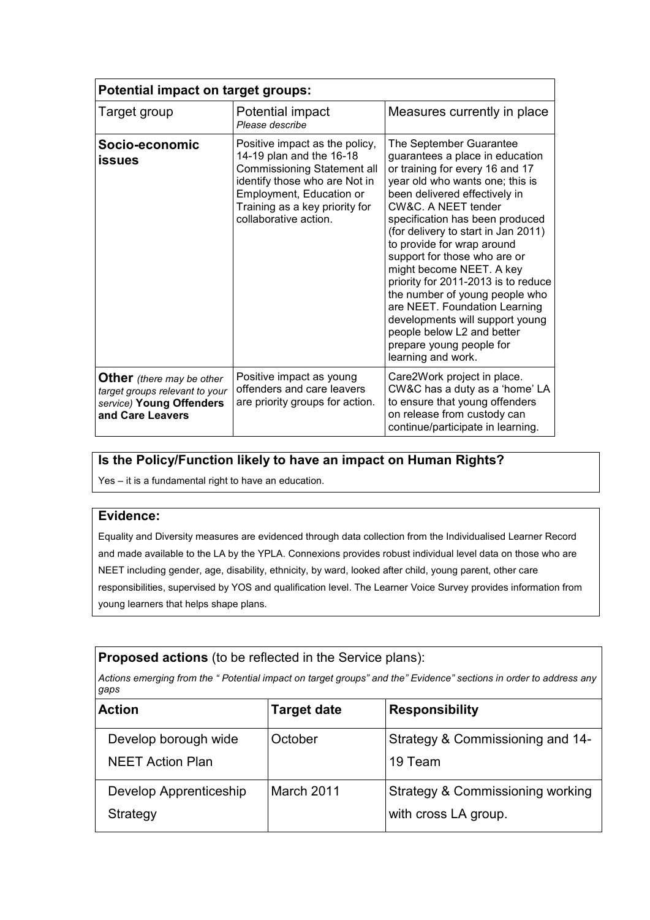| <b>Potential impact on target groups:</b>                                                                          |                                                                                                                                                                                                                   |                                                                                                                                                                                                                                                                                                                                                                                                                                                                                                                                                                                           |  |  |  |  |
|--------------------------------------------------------------------------------------------------------------------|-------------------------------------------------------------------------------------------------------------------------------------------------------------------------------------------------------------------|-------------------------------------------------------------------------------------------------------------------------------------------------------------------------------------------------------------------------------------------------------------------------------------------------------------------------------------------------------------------------------------------------------------------------------------------------------------------------------------------------------------------------------------------------------------------------------------------|--|--|--|--|
| Target group                                                                                                       | Potential impact<br>Please describe                                                                                                                                                                               | Measures currently in place                                                                                                                                                                                                                                                                                                                                                                                                                                                                                                                                                               |  |  |  |  |
| Socio-economic<br><b>issues</b>                                                                                    | Positive impact as the policy,<br>14-19 plan and the 16-18<br>Commissioning Statement all<br>identify those who are Not in<br>Employment, Education or<br>Training as a key priority for<br>collaborative action. | The September Guarantee<br>guarantees a place in education<br>or training for every 16 and 17<br>year old who wants one; this is<br>been delivered effectively in<br>CW&C. A NEET tender<br>specification has been produced<br>(for delivery to start in Jan 2011)<br>to provide for wrap around<br>support for those who are or<br>might become NEET. A key<br>priority for 2011-2013 is to reduce<br>the number of young people who<br>are NEET. Foundation Learning<br>developments will support young<br>people below L2 and better<br>prepare young people for<br>learning and work. |  |  |  |  |
| <b>Other</b> (there may be other<br>target groups relevant to your<br>service) Young Offenders<br>and Care Leavers | Positive impact as young<br>offenders and care leavers<br>are priority groups for action.                                                                                                                         | Care2Work project in place.<br>CW&C has a duty as a 'home' LA<br>to ensure that young offenders<br>on release from custody can<br>continue/participate in learning.                                                                                                                                                                                                                                                                                                                                                                                                                       |  |  |  |  |

# **Is the Policy/Function likely to have an impact on Human Rights?**

Yes – it is a fundamental right to have an education.

#### **Evidence:**

 Equality and Diversity measures are evidenced through data collection from the Individualised Learner Record and made available to the LA by the YPLA. Connexions provides robust individual level data on those who are NEET including gender, age, disability, ethnicity, by ward, looked after child, young parent, other care responsibilities, supervised by YOS and qualification level. The Learner Voice Survey provides information from young learners that helps shape plans.

#### **Proposed actions** (to be reflected in the Service plans):

Actions emerging from the " Potential impact on target groups" and the" Evidence" sections in order to address any *gaps*

| <b>Action</b>           | <b>Target date</b> | <b>Responsibility</b>            |
|-------------------------|--------------------|----------------------------------|
| Develop borough wide    | October            | Strategy & Commissioning and 14- |
| <b>NEET Action Plan</b> |                    | 19 Team                          |
| Develop Apprenticeship  | March 2011         | Strategy & Commissioning working |
| Strategy                |                    | with cross LA group.             |
|                         |                    |                                  |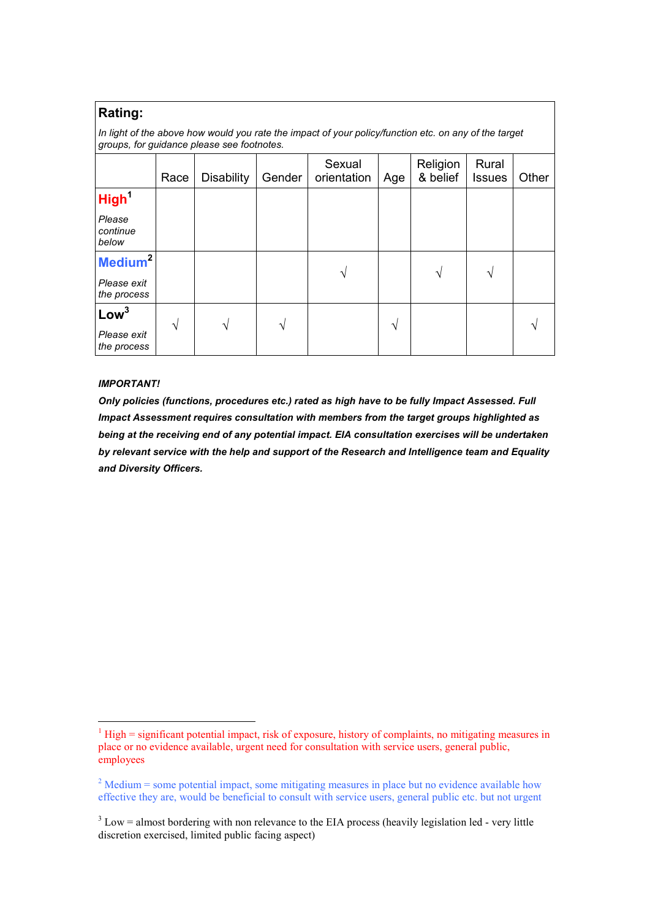#### **Rating:**

In light of the above how would you rate the impact of your policy/function etc. on any of the target  *groups, for guidance please see footnotes.*

|                             | Race       | <b>Disability</b> | Gender | Sexual<br>orientation | Age | Religion<br>& belief | Rural<br><b>Issues</b> | Other |
|-----------------------------|------------|-------------------|--------|-----------------------|-----|----------------------|------------------------|-------|
| High <sup>1</sup>           |            |                   |        |                       |     |                      |                        |       |
| Please<br>continue<br>below |            |                   |        |                       |     |                      |                        |       |
| Medium <sup>2</sup>         |            |                   |        | $\mathcal{N}$         |     | $\mathcal{N}$        | ٦                      |       |
| Please exit<br>the process  |            |                   |        |                       |     |                      |                        |       |
| Low <sup>3</sup>            | $\sqrt{ }$ | N                 |        |                       |     |                      |                        |       |
| Please exit<br>the process  |            |                   | V      |                       | V   |                      |                        |       |

#### *IMPORTANT!*

<u> Andrew Maria (1989)</u>

Only policies (functions, procedures etc.) rated as high have to be fully Impact Assessed. Full  *Impact Assessment requires consultation with members from the target groups highlighted as* being at the receiving end of any potential impact. EIA consultation exercises will be undertaken by relevant service with the help and support of the Research and Intelligence team and Equality  *and Diversity Officers.*

 $1$  High = significant potential impact, risk of exposure, history of complaints, no mitigating measures in place or no evidence available, urgent need for consultation with service users, general public, employees

 $2^{2}$  Medium = some potential impact, some mitigating measures in place but no evidence available how effective they are, would be beneficial to consult with service users, general public etc. but not urgent

 $3$  Low = almost bordering with non relevance to the EIA process (heavily legislation led - very little discretion exercised, limited public facing aspect)